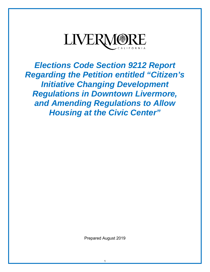

*Elections Code Section 9212 Report Regarding the Petition entitled "Citizen's Initiative Changing Development Regulations in Downtown Livermore, and Amending Regulations to Allow Housing at the Civic Center"*

Prepared August 2019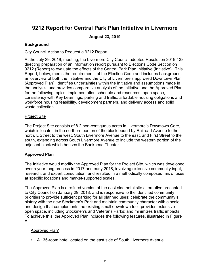# **9212 Report for Central Park Plan Initiative in Livermore**

### **August 23, 2019**

### **Background**

### City Council Action to Request a 9212 Report

At the July 29, 2019, meeting, the Livermore City Council adopted Resolution 2019-138 directing preparation of an information report pursuant to Elections Code Section on 9212 (Report) to evaluate the effects of the Central Park Plan Initiative (Initiative). This Report, below, meets the requirements of the Election Code and includes background, an overview of both the Initiative and the City of Livermore's approved Downtown Plan (Approved Plan), identifies uncertainties within the Initiative and assumptions made in the analysis, and provides comparative analysis of the Initiative and the Approved Plan for the following topics: implementation schedule and resources, open space, consistency with Key Learnings, parking and traffic, affordable housing obligations and workforce housing feasibility, development partners, and delivery access and solid waste collection.

#### Project Site

The Project Site consists of 8.2 non-contiguous acres in Livermore's Downtown Core, which is located in the northern portion of the block bound by Railroad Avenue to the north, L Street to the west, South Livermore Avenue to the east, and First Street to the south, extending across South Livermore Avenue to include the western portion of the adjacent block which houses the Bankhead Theater.

### **Approved Plan**

The Initiative would modify the Approved Plan for the Project Site, which was developed over a year-long process in 2017 and early 2018, involving extensive community input, research, and expert consultation, and resulted in a methodically composed mix of uses at specific locations and market-supported scales.

The Approved Plan is a refined version of the east side hotel site alternative presented to City Council on January 29, 2018, and is responsive to the identified community priorities to provide sufficient parking for all planned uses; celebrate the community's history with the new Stockmen's Park and maintain community character with a scale and design that complements the existing small downtown feel; provides extensive open space, including Stockmen's and Veterans Parks; and minimizes traffic impacts. To achieve this, the Approved Plan includes the following features, illustrated in Figure A:

## Approved Plan\*

A 135-room hotel located on the east side of South Livermore Avenue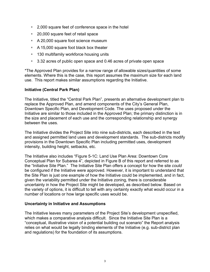- 2,000 square feet of conference space in the hotel
- 20,000 square feet of retail space
- A 20,000 square foot science museum
- A 15,000 square foot black box theater
- 130 multifamily workforce housing units
- 3.32 acres of public open space and 0.46 acres of private open space

\*The Approved Plan provides for a narrow range of allowable sizes/quantities of some elements. Where this is the case, this report assumes the maximum size for each land use. This report makes similar assumptions regarding the Initiative.

#### **Initiative (Central Park Plan)**

The Initiative, titled the "Central Park Plan", presents an alternative development plan to replace the Approved Plan, and amend components of the City's General Plan, Downtown Specific Plan, and Development Code. The uses proposed under the Initiative are similar to those included in the Approved Plan; the primary distinction is in the size and placement of each use and the corresponding relationship and synergy between the uses.

The Initiative divides the Project Site into nine sub-districts, each described in the text and assigned permitted land uses and development standards. The sub-districts modify provisions in the Downtown Specific Plan including permitted uses, development intensity, building height, setbacks, etc.

The Initiative also includes "Figure 5-1C: Land Use Plan Area: Downtown Core Conceptual Plan for Subarea 4", depicted in Figure B of this report and referred to as the "Initiative Site Plan." The Initiative Site Plan offers a concept for how the site *could* be configured if the Initiative were approved. However, it is important to understand that the Site Plan is just one example of how the Initiative could be implemented, and in fact, given the variability permitted under the Initiative zoning, there is considerable uncertainty in how the Project Site might be developed, as described below. Based on the variety of options, it is difficult to tell with any certainty exactly what would occur in a number of locations or how large specific uses would be.

#### **Uncertainty in Initiative and Assumptions**

The Initiative leaves many parameters of the Project Site's development unspecified, which makes a comparative analysis difficult. Since the Initiative Site Plan is a "conceptual, illustrative vision of a potential building out scenario" the Report analysis relies on what would be legally binding elements of the Initiative (e.g. sub-district plan and regulations) for the foundation of its assumptions.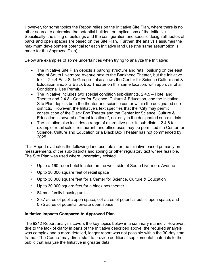However, for some topics the Report relies on the Initiative Site Plan, where there is no other source to determine the potential buildout or implications of the Initiative. Specifically, the siting of buildings and the configuration and specific design attributes of parks and open spaces are based on the Site Plan. Further, the analysis assumes the maximum development potential for each Initiative land use (the same assumption is made for the Approved Plan).

Below are examples of some uncertainties when trying to analyze the Initiative:

- The Initiative Site Plan depicts a parking structure and retail building on the east side of South Livermore Avenue next to the Bankhead Theater, but the Initiative text – 2.4.4 East Side Garage - also allows the Center for Science Culture and & Education and/or a Black Box Theater on this same location, with approval of a Conditional Use Permit.
- The Initiative includes two special condition sub-districts, 2.4.5 Hotel and Theater and 2.4.8 - Center for Science, Culture & Education, and the Initiative Site Plan depicts both the theater and science center within the designated subdistricts. However, the Initiative's text specifies that the "City may permit construction of the Black Box Theater and the Center for Science, Culture & Education in several different locations", not only in the designated sub-districts.
- The Initiative also includes a range of alternative use. In sub-district 2.4.8 for example, retail sales, restaurant, and office uses may be permitted if a Center for Science, Culture and Education or a Black Box Theater has not commenced by 2025.

This Report evaluates the following land use totals for the Initiative based primarily on measurements of the sub-districts and zoning or other regulatory text where feasible. The Site Plan was used where uncertainty existed.

- Up to a 160-room hotel located on the west side of South Livermore Avenue
- Up to 30,000 square feet of retail space
- Up to 30,000 square feet for a Center for Science, Culture & Education
- Up to 30,000 square feet for a black box theater
- 84 multifamily housing units
- 2.37 acres of public open space, 0.4 acres of potential public open space, and 0.75 acres of potential private open space

### **Initiative Impacts Compared to Approved Plan**

The 9212 Report analysis covers the key topics below in a summary manner. However, due to the lack of clarity in parts of the Initiative described above, the required analysis was complex and a more detailed, longer report was not possible within the 30-day time frame. The Council may direct staff to provide additional supplemental materials to the public that analyze the Initiative in greater detail.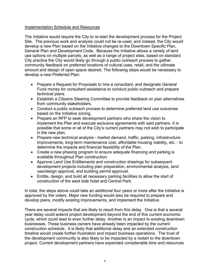#### Implementation Schedule and Resources

The Initiative would require the City to re-start the development process for the Project Site. The previous work and analysis could not be re-used, and instead, the City would develop a new Plan based on the Initiative changes to the Downtown Specific Plan, General Plan and Development Code. Because the Initiative allows a variety of land use options on multiple parcels, as well as a range of project sites, based on standard City practice the City would likely go through a public outreach process to gather community feedback on preferred locations of cultural uses, retail, and the ultimate amount and design of open space desired. The following steps would be necessary to develop a new Preferred Plan:

- Prepare a Request for Proposals to hire a consultant, and designate General Fund money for consultant assistance to conduct public outreach and prepare technical plans.
- Establish a Citizens Steering Committee to provide feedback on plan alternatives from community stakeholders.
- Conduct a public outreach process to determine preferred land use outcomes based on the Initiative zoning.
- Prepare an RFP to seek development partners who share the vision to implement the Plan and execute exclusive agreements with said partners. It is possible that some or all of the City's current partners may not wish to participate in the new plan.
- Prepare new technical analysis market demand, traffic, parking, infrastructure improvements, long-term maintenance cost, affordable housing viability, etc. - to determine the impacts and financial feasibility of the Plan.
- Create a new phasing program to ensure adequate financing and parking is available throughout Plan construction.
- Approve Land Use Entitlements and construction drawings for subsequent development projects including plan preparation, environmental analysis, land use/design approval, and building permit approval.
- Entitle, design, and build all necessary parking facilities to allow the start of construction of the west side hotel and Central Park.

In total, the steps above could take an additional four years or more after the Initiative is approved by the voters. Major new funding would also be required to prepare and develop plans, modify existing improvements, and implement the Initiative.

There are several impacts that are likely to result from this delay. One is that a several year delay could extend project development beyond the end of this current economic cycle, which could lead to even further delay. Another is an impact to existing downtown businesses. These business owners have already been impacted by the current construction schedule. It is likely that additional delay and an extended construction timeline would create further frustration and impact business operations. The trust of the development community is also likely to be impacted by a restart to the downtown project. Current development partners have expended considerable time and resources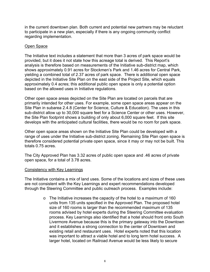in the current downtown plan. Both current and potential new partners may be reluctant to participate in a new plan, especially if there is any ongoing community conflict regarding implementation.

#### Open Space

The Initiative text includes a statement that more than 3 acres of park space would be provided, but it does it not state how this acreage total is derived. This Report's analysis is therefore based on measurements of the Initiative sub-district map, which shows approximately 0.91 acres for Stockmen's Park and 1.46 acres for Central Park, yielding a combined total of 2.37 acres of park space. There is additional open space depicted in the Initiative Site Plan on the east side of the Project Site, which equals approximately 0.4 acres; this additional public open space is only a potential option based on the allowed uses in Initiative regulations.

Other open space areas depicted on the Site Plan are located on parcels that are primarily intended for other uses. For example, some open space areas appear on the Site Plan in subarea 2.4.8 (Center for Science, Culture & Education). The uses in this sub-district allow up to 30,000 square feet for a Science Center or other uses. However, the Site Plan footprint shows a building of only about 6,000 square feet. If this site develops with the anticipated cultural facilities, there would be no room for park space.

Other open space areas shown on the Initiative Site Plan could be developed with a range of uses under the Initiative sub-district zoning. Remaining Site Plan open space is therefore considered potential private open space, since it may or may not be built. This totals 0.75 acres.

The City Approved Plan has 3.32 acres of public open space and .46 acres of private open space, for a total of 3.78 acres.

#### Consistency with Key Learnings

The Initiative contains a mix of land uses. Some of the locations and sizes of these uses are not consistent with the Key Learnings and expert recommendations developed through the Steering Committee and public outreach process. Examples include:

> o The Initiative increases the capacity of the hotel to a maximum of 160 units from 135 units specified in the Approved Plan. The proposed hotel size of 160 rooms is larger than the recommended maximum of 135 rooms advised by hotel experts during the Steering Committee evaluation process. Key Learnings also identified that a hotel should front onto South Livermore Avenue because this is the primary gateway into the Downtown and it establishes a strong connection to the center of Downtown and existing retail and restaurant uses. Hotel experts noted that this location was important to attract a viable hotel and to long term hotel success. A larger hotel, located on Railroad Avenue would be less likely to secure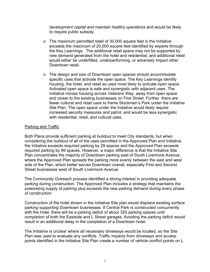development capital and maintain healthy operations and would be likely to require public subsidy.

- o The maximum permitted retail of 30,000 square feet in the Initiative exceeds the maximum of 20,000 square feet identified by experts through the Key Learnings. The additional retail space may not be supported by new demand generated from the hotel and residential, and additional retail would either be underfilled, underperforming, or adversely impact other Downtown retail.
- o The design and size of Downtown open spaces should accommodate specific uses that activate the open space. The Key Learnings identify housing, the hotel, and retail as uses most likely to activate open space. Activated open space is safe and synergistic with adjacent uses. The Initiative moves housing across Veterans Way, away from open space and closer to the existing businesses on First Street. Further, there are fewer cultural and retail uses to frame Stockmen's Park under the Initiative Site Plan. The open space under the Initiative would likely require increased security measures and patrol, and would be less synergistic with residential, retail, and cultural uses.

#### Parking and Traffic

Both Plans provide sufficient parking at buildout to meet City standards, but when considering the buildout of all of the uses permitted in the Approved Plan and Initiative, the Initiative exceeds required parking by 29 spaces and the Approved Plan exceeds required parking by 99 spaces. However, a major difference is that the Initiative Site Plan concentrates the majority of Downtown parking east of South Livermore Avenue, where the Approved Plan spreads the parking more evenly between the east and west side of the Plan, which better serves Downtown overall, especially First and Second Street businesses west of South Livermore Avenue.

The Community Outreach process identified a strong interest in providing adequate parking during construction. The Approved Plan includes a strategy that maintains the preexisting supply of parking plus exceeds the new parking demand during every phase of construction.

Construction of the hotel shown in the Initiative Site plan would displace existing surface parking supporting Downtown businesses. If Central Park is constructed concurrently with the hotel, there will be a parking deficit of about 320 parking spaces until completion of both the Eastside and L Street garages. Avoiding the parking deficit would result in an additional delay in the completion of a Downtown hotel.

The Initiative is unclear where all necessary driveways would be located, so the Site Plan was used to evaluate any conflicts. Traffic impacts from driveways and access points identified in the Initiative Site Plan create a number of vehicle conflict points on L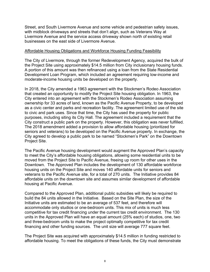Street, and South Livermore Avenue and some vehicle and pedestrian safety issues, with midblock driveways and streets that don't align, such as Veterans Way at Livermore Avenue and the service access driveway shown north of existing retail businesses on the east side of Livermore Avenue.

#### Affordable Housing Obligations and Workforce Housing Funding Feasibility

The City of Livermore, through the former Redevelopment Agency, acquired the bulk of the Project Site using approximately \$14.5 million from City inclusionary housing funds. A portion of this amount was then refinanced using a loan from the State Residential Development Loan Program, which included an agreement requiring low-income and moderate-income housing units be developed on the property.

In 2018, the City amended a 1963 agreement with the Stockmen's Rodeo Association that created an opportunity to modify the Project Site housing obligation. In 1963, the City entered into an agreement with the Stockmen's Rodeo Association assuming ownership for 33 acres of land, known as the Pacific Avenue Property, to be developed as a civic center and parks and recreation facility. The agreement limited use of the site to civic and park uses. Since that time, the City has used the property for public purposes, including siting its City Hall. The agreement included a requirement that the City construct a public park on the property. However, this obligation was never fulfilled. The 2018 amendment added a provision to allow affordable housing (prioritized for seniors and veterans) to be developed on the Pacific Avenue property. In exchange, the City agreed to develop a public park to be named "Stockmen's Park" on the Downtown Project Site.

The Pacific Avenue housing development would augment the Approved Plan's capacity to meet the City's affordable housing obligations, allowing some residential units to be moved from the Project Site to Pacific Avenue, freeing up room for other uses in the Downtown. The Approved Plan includes the development of 130 affordable workforce housing units on the Project Site and moves 140 affordable units for seniors and veterans to the Pacific Avenue site, for a total of 270 units. The Initiative provides 84 affordable units on the downtown site and assumes similar development of affordable housing at Pacific Avenue.

Compared to the Approved Plan, additional public subsidies will likely be required to build the 84 units allowed in the Initiative. Based on the Site Plan, the size of the Initiative units are estimated to be an average of 537 feet, and therefore will accommodate only studios or one-bedroom units. This mix of units is much less competitive for tax credit financing under the current tax credit environment. The 130 units in the Approved Plan will have an equal amount (25% each) of studios, one, two and three-bedroom units to make the project optimally competitive for tax credit financing and other funding sources. The unit size will average 777 square feet.

The Project Site was acquired with approximately \$14.5 million in funding restricted to affordable housing. To meet the obligations of these funds, the City must demonstrate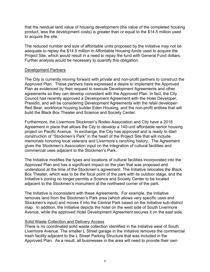that the residual land value of housing development (the value of the completed housing product, less the development costs) is greater than or equal to the \$14.5 million used to acquire the site.

The reduced number and size of affordable units proposed by the Initiative may not be adequate to replay the \$14.5 million in Affordable Housing funds used to acquire the Project Site, which would result in a need to repay the fund with General Fund dollars. Further analysis would be necessary to quantify this obligation.

#### Development Partners

The City is currently moving forward with private and non-profit partners to construct the Approved Plan. These partners have expressed a desire to implement the Approved Plan as evidenced by their request to execute Development Agreements and other agreements so they can develop consistent with the Approved Plan. In fact, the City Council has recently approved a Development Agreement with the Hotel Developer, Presidio, and will be considering Development Agreements with the retail developer-Red Bear, workforce housing builder Eden Housing, and the non-profit entities that will build the Black Box Theater and Science and Society Center.

Furthermore, the Livermore Stockmen's Rodeo Association and City have a 2018 Agreement in place that allows the City to develop a 140-unit affordable senior housing project on Pacific Avenue. In exchange, the City has approved and is ready to start construction of "Stockmen's Park" in the heart of the Project Site that will include memorials honoring local veterans and Livermore's ranching history. The Agreement gives the Stockmen's Association input on the integration of cultural facilities and commercial uses adjacent to the Stockmen's Park.

The Initiative modifies the types and locations of cultural facilities incorporated into the Approved Plan and has a significant impact on the plan that was proposed and understood at the time of the Stockmen's agreement. The Initiative relocates the Black Box Theater, which was to be the focal point of the park with its outdoor stage, and the Initiative's zoning no longer permits a Science and Society Center to be located adjacent to the Stockmen's monument at the northwest corner of the park.

The Initiative is inconsistent with these Agreements. For example, the Initiative removes land from the Stockmen's Park area (which allows very specific uses and Stockmen's input) and moves it into the Central Park based on the Initiative sub-district map. In addition, the Initiative depicts the hotel on the west side of South Livermore Avenue, while the approved Hotel Development Agreement secures it on the east side.

#### Solid Waste Collection and Delivery Access

There is no coordinated solid waste collection identified in the Initiative west of South Livermore Avenue. The smaller L Street garage in the Initiative removes the commercial trash facility adjacent to the L Street Parking Structure that was included in the Approved Plan. As a result, all businesses in the area will need to provide their own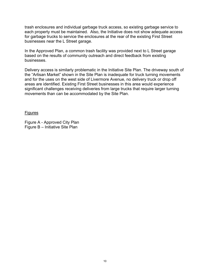trash enclosures and individual garbage truck access, so existing garbage service to each property must be maintained. Also, the Initiative does not show adequate access for garbage trucks to service the enclosures at the rear of the existing First Street businesses near the L Street garage.

In the Approved Plan, a common trash facility was provided next to L Street garage based on the results of community outreach and direct feedback from existing businesses.

Delivery access is similarly problematic in the Initiative Site Plan. The driveway south of the "Artisan Market" shown in the Site Plan is inadequate for truck turning movements and for the uses on the west side of Livermore Avenue, no delivery truck or drop off areas are identified. Existing First Street businesses in this area would experience significant challenges receiving deliveries from large trucks that require larger turning movements than can be accommodated by the Site Plan.

**Figures** 

Figure A - Approved City Plan Figure B – Initiative Site Plan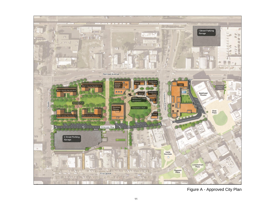

Figure A - Approved City Plan